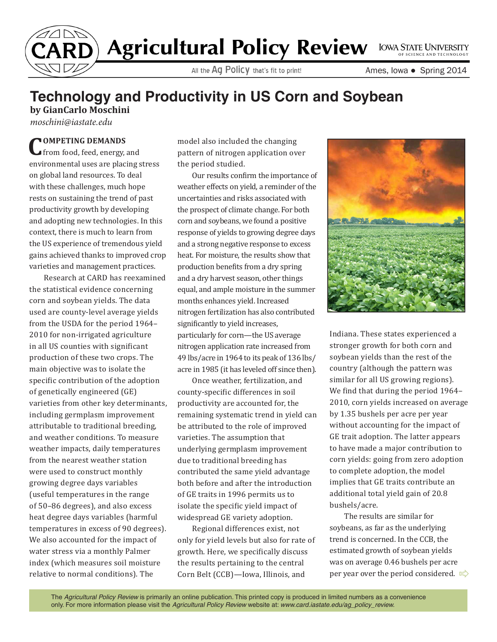

## Agricultural Policy Review LOWA STATE UNIVERSITY

All the Ag Policy that's fit to print!

Ames, Iowa ● Spring 2014

## **Technology and Productivity in US Corn and Soybean**

**by GianCarlo Moschini** *moschini@iastate.edu*

**COMPETING DEMANDS**  from food, feed, energy, and environmental uses are placing stress on global land resources. To deal with these challenges, much hope rests on sustaining the trend of past productivity growth by developing and adopting new technologies. In this context, there is much to learn from the US experience of tremendous yield gains achieved thanks to improved crop varieties and management practices.

Research at CARD has reexamined the statistical evidence concerning corn and soybean yields. The data used are county-level average yields from the USDA for the period 1964– 2010 for non-irrigated agriculture in all US counties with significant production of these two crops. The main objective was to isolate the specific contribution of the adoption of genetically engineered (GE) varieties from other key determinants, including germplasm improvement attributable to traditional breeding, and weather conditions. To measure weather impacts, daily temperatures from the nearest weather station were used to construct monthly growing degree days variables (useful temperatures in the range of 50–86 degrees), and also excess heat degree days variables (harmful temperatures in excess of 90 degrees). We also accounted for the impact of water stress via a monthly Palmer index (which measures soil moisture relative to normal conditions). The

model also included the changing pattern of nitrogen application over the period studied.

Our results confirm the importance of weather effects on yield, a reminder of the uncertainties and risks associated with the prospect of climate change. For both corn and soybeans, we found a positive response of yields to growing degree days and a strong negative response to excess heat. For moisture, the results show that production benefits from a dry spring and a dry harvest season, other things equal, and ample moisture in the summer months enhances yield. Increased nitrogen fertilization has also contributed significantly to yield increases, particularly for corn—the US average nitrogen application rate increased from 49 lbs/acre in 1964 to its peak of 136 lbs/ acre in 1985 (it has leveled off since then).

Once weather, fertilization, and county-specific differences in soil productivity are accounted for, the remaining systematic trend in yield can be attributed to the role of improved varieties. The assumption that underlying germplasm improvement due to traditional breeding has contributed the same yield advantage both before and after the introduction of GE traits in 1996 permits us to isolate the specific yield impact of widespread GE variety adoption.

Regional differences exist, not only for yield levels but also for rate of growth. Here, we specifically discuss the results pertaining to the central Corn Belt (CCB)—Iowa, Illinois, and



Indiana. These states experienced a stronger growth for both corn and soybean yields than the rest of the country (although the pattern was similar for all US growing regions). We find that during the period 1964– 2010, corn yields increased on average by 1.35 bushels per acre per year without accounting for the impact of GE trait adoption. The latter appears to have made a major contribution to corn yields: going from zero adoption to complete adoption, the model implies that GE traits contribute an additional total yield gain of 20.8 bushels/acre.

The results are similar for soybeans, as far as the underlying trend is concerned. In the CCB, the estimated growth of soybean yields was on average 0.46 bushels per acre per year over the period considered.  $\mathbb{I}$